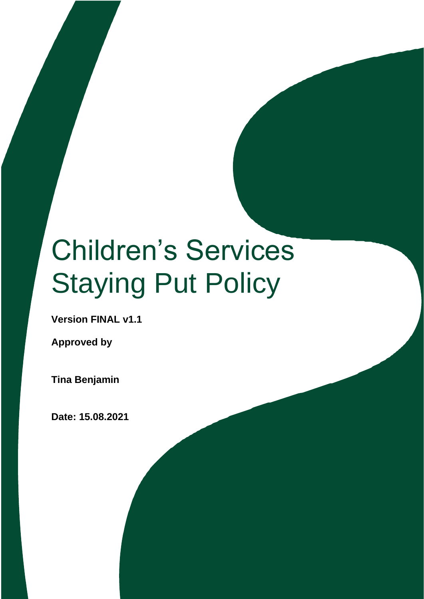# Children's Services Staying Put Policy

**Version FINAL v1.1** 

**Approved by**

**Tina Benjamin** 

**Date: 15.08.2021**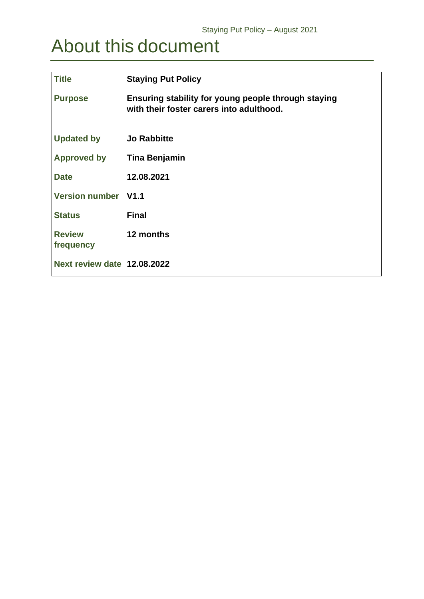## <span id="page-1-0"></span>About this document

| <b>Title</b>                | <b>Staying Put Policy</b>                                                                       |
|-----------------------------|-------------------------------------------------------------------------------------------------|
| <b>Purpose</b>              | Ensuring stability for young people through staying<br>with their foster carers into adulthood. |
| <b>Updated by</b>           | <b>Jo Rabbitte</b>                                                                              |
| <b>Approved by</b>          | Tina Benjamin                                                                                   |
| <b>Date</b>                 | 12.08.2021                                                                                      |
| Version number V1.1         |                                                                                                 |
| <b>Status</b>               | <b>Final</b>                                                                                    |
| <b>Review</b><br>frequency  | 12 months                                                                                       |
| Next review date 12.08.2022 |                                                                                                 |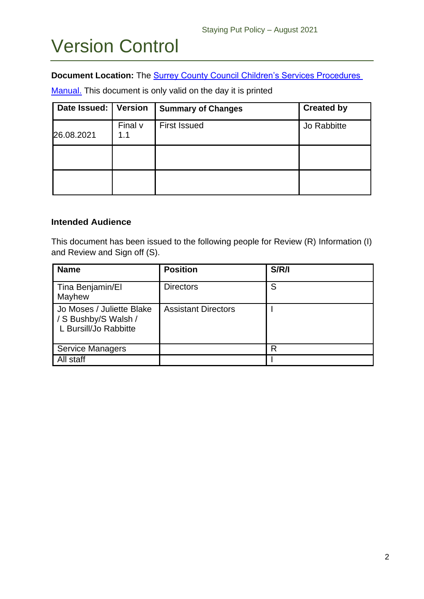## Version Control

#### **Document Location:** The **Surrey County Council Children's Services Procedures**

[Manual.](https://www.proceduresonline.com/surrey/cs/) This document is only valid on the day it is printed

| Date Issued: | Version        | <b>Summary of Changes</b> | <b>Created by</b> |
|--------------|----------------|---------------------------|-------------------|
| 26.08.2021   | Final v<br>1.1 | <b>First Issued</b>       | Jo Rabbitte       |
|              |                |                           |                   |
|              |                |                           |                   |

#### **Intended Audience**

This document has been issued to the following people for Review (R) Information (I) and Review and Sign off (S).

| <b>Name</b>                                                                | <b>Position</b>            | S/R/I |
|----------------------------------------------------------------------------|----------------------------|-------|
| Tina Benjamin/El<br>Mayhew                                                 | <b>Directors</b>           | S     |
| Jo Moses / Juliette Blake<br>/ S Bushby/S Walsh /<br>L Bursill/Jo Rabbitte | <b>Assistant Directors</b> |       |
| <b>Service Managers</b>                                                    |                            | R     |
| All staff                                                                  |                            |       |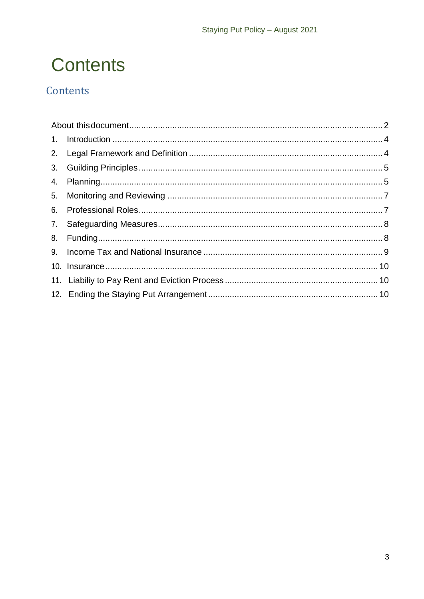## **Contents**

## Contents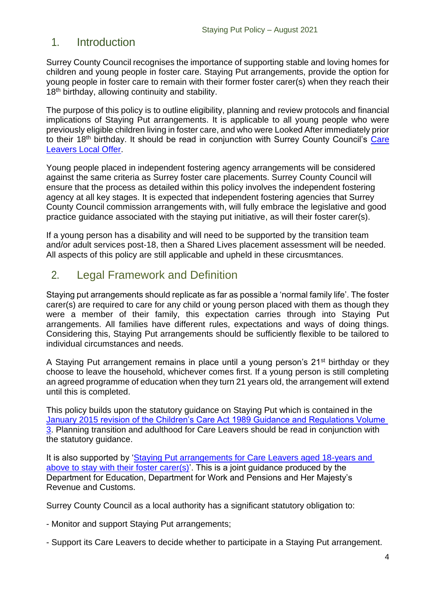## <span id="page-4-0"></span>1. Introduction

Surrey County Council recognises the importance of supporting stable and loving homes for children and young people in foster care. Staying Put arrangements, provide the option for young people in foster care to remain with their former foster carer(s) when they reach their 18<sup>th</sup> birthday, allowing continuity and stability.

The purpose of this policy is to outline eligibility, planning and review protocols and financial implications of Staying Put arrangements. It is applicable to all young people who were previously eligible children living in foster care, and who were Looked After immediately prior to their 18th birthday. It should be read in conjunction with Surrey County Council's [Care](https://www.surreycc.gov.uk/social-care-and-health/children-in-care/user-voice/care-leavers)  [Leavers Local Offer.](https://www.surreycc.gov.uk/social-care-and-health/children-in-care/user-voice/care-leavers)

Young people placed in independent fostering agency arrangements will be considered against the same criteria as Surrey foster care placements. Surrey County Council will ensure that the process as detailed within this policy involves the independent fostering agency at all key stages. It is expected that independent fostering agencies that Surrey County Council commission arrangements with, will fully embrace the legislative and good practice guidance associated with the staying put initiative, as will their foster carer(s).

If a young person has a disability and will need to be supported by the transition team and/or adult services post-18, then a Shared Lives placement assessment will be needed. All aspects of this policy are still applicable and upheld in these circusmtances.

## <span id="page-4-1"></span>2. Legal Framework and Definition

Staying put arrangements should replicate as far as possible a 'normal family life'. The foster carer(s) are required to care for any child or young person placed with them as though they were a member of their family, this expectation carries through into Staying Put arrangements. All families have different rules, expectations and ways of doing things. Considering this, Staying Put arrangements should be sufficiently flexible to be tailored to individual circumstances and needs.

A Staying Put arrangement remains in place until a young person's 21<sup>st</sup> birthday or they choose to leave the household, whichever comes first. If a young person is still completing an agreed programme of education when they turn 21 years old, the arrangement will extend until this is completed.

This policy builds upon the statutory guidance on Staying Put which is contained in the January 2015 revision of the Children's Care Act 1989 Guidance and Regulations Volume [3.](https://assets.publishing.service.gov.uk/government/uploads/system/uploads/attachment_data/file/397649/CA1989_Transitions_guidance.pdf) Planning transition and adulthood for Care Leavers should be read in conjunction with the statutory guidance.

It is also supported by ['Staying Put arrangements for Care Leavers aged 18-years and](https://assets.publishing.service.gov.uk/government/uploads/system/uploads/attachment_data/file/201015/Staying_Put_Guidance.pdf)  [above to stay with their foster carer\(s\)'](https://assets.publishing.service.gov.uk/government/uploads/system/uploads/attachment_data/file/201015/Staying_Put_Guidance.pdf). This is a joint guidance produced by the Department for Education, Department for Work and Pensions and Her Majesty's Revenue and Customs.

Surrey County Council as a local authority has a significant statutory obligation to:

- Monitor and support Staying Put arrangements;

- Support its Care Leavers to decide whether to participate in a Staying Put arrangement.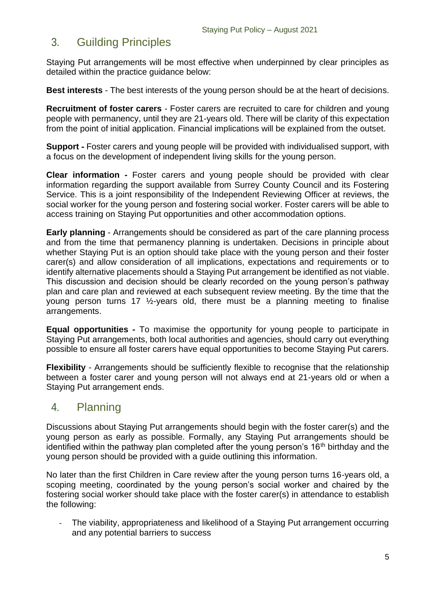## <span id="page-5-0"></span>3. Guilding Principles

Staying Put arrangements will be most effective when underpinned by clear principles as detailed within the practice guidance below:

**Best interests** - The best interests of the young person should be at the heart of decisions.

**Recruitment of foster carers** - Foster carers are recruited to care for children and young people with permanency, until they are 21-years old. There will be clarity of this expectation from the point of initial application. Financial implications will be explained from the outset.

**Support** - Foster carers and young people will be provided with individualised support, with a focus on the development of independent living skills for the young person.

**Clear information -** Foster carers and young people should be provided with clear information regarding the support available from Surrey County Council and its Fostering Service. This is a joint responsibility of the Independent Reviewing Officer at reviews, the social worker for the young person and fostering social worker. Foster carers will be able to access training on Staying Put opportunities and other accommodation options.

**Early planning** - Arrangements should be considered as part of the care planning process and from the time that permanency planning is undertaken. Decisions in principle about whether Staying Put is an option should take place with the young person and their foster carer(s) and allow consideration of all implications, expectations and requirements or to identify alternative placements should a Staying Put arrangement be identified as not viable. This discussion and decision should be clearly recorded on the young person's pathway plan and care plan and reviewed at each subsequent review meeting. By the time that the young person turns 17 ½-years old, there must be a planning meeting to finalise arrangements.

**Equal opportunities -** To maximise the opportunity for young people to participate in Staying Put arrangements, both local authorities and agencies, should carry out everything possible to ensure all foster carers have equal opportunities to become Staying Put carers.

**Flexibility** - Arrangements should be sufficiently flexible to recognise that the relationship between a foster carer and young person will not always end at 21-years old or when a Staying Put arrangement ends.

## <span id="page-5-1"></span>4. Planning

Discussions about Staying Put arrangements should begin with the foster carer(s) and the young person as early as possible. Formally, any Staying Put arrangements should be identified within the pathway plan completed after the young person's  $16<sup>th</sup>$  birthday and the young person should be provided with a guide outlining this information.

No later than the first Children in Care review after the young person turns 16-years old, a scoping meeting, coordinated by the young person's social worker and chaired by the fostering social worker should take place with the foster carer(s) in attendance to establish the following:

- The viability, appropriateness and likelihood of a Staying Put arrangement occurring and any potential barriers to success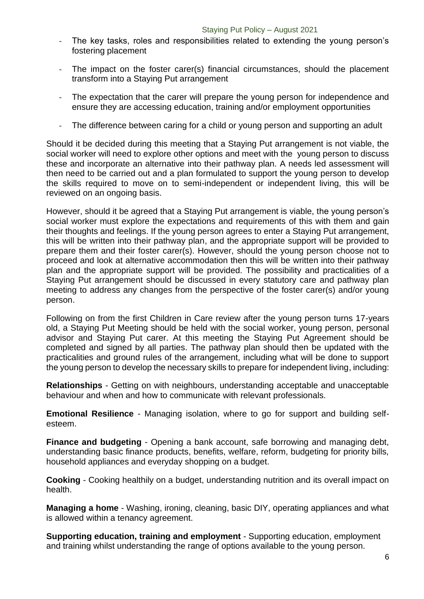- The key tasks, roles and responsibilities related to extending the young person's fostering placement
- The impact on the foster carer(s) financial circumstances, should the placement transform into a Staying Put arrangement
- The expectation that the carer will prepare the young person for independence and ensure they are accessing education, training and/or employment opportunities
- The difference between caring for a child or young person and supporting an adult

Should it be decided during this meeting that a Staying Put arrangement is not viable, the social worker will need to explore other options and meet with the young person to discuss these and incorporate an alternative into their pathway plan. A needs led assessment will then need to be carried out and a plan formulated to support the young person to develop the skills required to move on to semi-independent or independent living, this will be reviewed on an ongoing basis.

However, should it be agreed that a Staying Put arrangement is viable, the young person's social worker must explore the expectations and requirements of this with them and gain their thoughts and feelings. If the young person agrees to enter a Staying Put arrangement, this will be written into their pathway plan, and the appropriate support will be provided to prepare them and their foster carer(s). However, should the young person choose not to proceed and look at alternative accommodation then this will be written into their pathway plan and the appropriate support will be provided. The possibility and practicalities of a Staying Put arrangement should be discussed in every statutory care and pathway plan meeting to address any changes from the perspective of the foster carer(s) and/or young person.

Following on from the first Children in Care review after the young person turns 17-years old, a Staying Put Meeting should be held with the social worker, young person, personal advisor and Staying Put carer. At this meeting the Staying Put Agreement should be completed and signed by all parties. The pathway plan should then be updated with the practicalities and ground rules of the arrangement, including what will be done to support the young person to develop the necessary skills to prepare for independent living, including:

**Relationships** - Getting on with neighbours, understanding acceptable and unacceptable behaviour and when and how to communicate with relevant professionals.

**Emotional Resilience** - Managing isolation, where to go for support and building selfesteem.

**Finance and budgeting** - Opening a bank account, safe borrowing and managing debt, understanding basic finance products, benefits, welfare, reform, budgeting for priority bills, household appliances and everyday shopping on a budget.

**Cooking** - Cooking healthily on a budget, understanding nutrition and its overall impact on health.

**Managing a home** - Washing, ironing, cleaning, basic DIY, operating appliances and what is allowed within a tenancy agreement.

**Supporting education, training and employment** - Supporting education, employment and training whilst understanding the range of options available to the young person.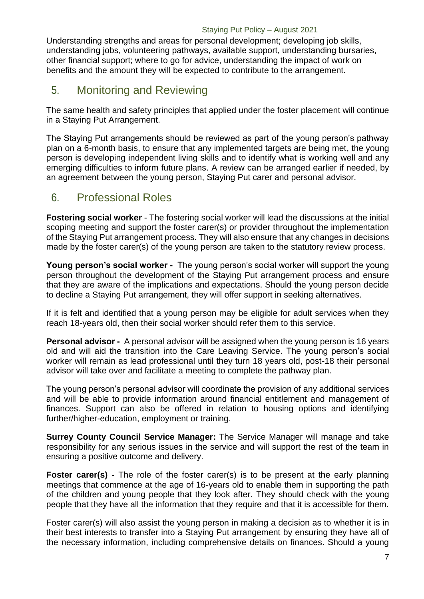Understanding strengths and areas for personal development; developing job skills, understanding jobs, volunteering pathways, available support, understanding bursaries, other financial support; where to go for advice, understanding the impact of work on benefits and the amount they will be expected to contribute to the arrangement.

## <span id="page-7-0"></span>5. Monitoring and Reviewing

The same health and safety principles that applied under the foster placement will continue in a Staying Put Arrangement.

The Staying Put arrangements should be reviewed as part of the young person's pathway plan on a 6-month basis, to ensure that any implemented targets are being met, the young person is developing independent living skills and to identify what is working well and any emerging difficulties to inform future plans. A review can be arranged earlier if needed, by an agreement between the young person, Staying Put carer and personal advisor.

## <span id="page-7-1"></span>6. Professional Roles

**Fostering social worker** - The fostering social worker will lead the discussions at the initial scoping meeting and support the foster carer(s) or provider throughout the implementation of the Staying Put arrangement process. They will also ensure that any changes in decisions made by the foster carer(s) of the young person are taken to the statutory review process.

**Young person's social worker -** The young person's social worker will support the young person throughout the development of the Staying Put arrangement process and ensure that they are aware of the implications and expectations. Should the young person decide to decline a Staying Put arrangement, they will offer support in seeking alternatives.

If it is felt and identified that a young person may be eligible for adult services when they reach 18-years old, then their social worker should refer them to this service.

**Personal advisor -** A personal advisor will be assigned when the young person is 16 years old and will aid the transition into the Care Leaving Service. The young person's social worker will remain as lead professional until they turn 18 years old, post-18 their personal advisor will take over and facilitate a meeting to complete the pathway plan.

The young person's personal advisor will coordinate the provision of any additional services and will be able to provide information around financial entitlement and management of finances. Support can also be offered in relation to housing options and identifying further/higher-education, employment or training.

**Surrey County Council Service Manager:** The Service Manager will manage and take responsibility for any serious issues in the service and will support the rest of the team in ensuring a positive outcome and delivery.

**Foster carer(s)** - The role of the foster carer(s) is to be present at the early planning meetings that commence at the age of 16-years old to enable them in supporting the path of the children and young people that they look after. They should check with the young people that they have all the information that they require and that it is accessible for them.

Foster carer(s) will also assist the young person in making a decision as to whether it is in their best interests to transfer into a Staying Put arrangement by ensuring they have all of the necessary information, including comprehensive details on finances. Should a young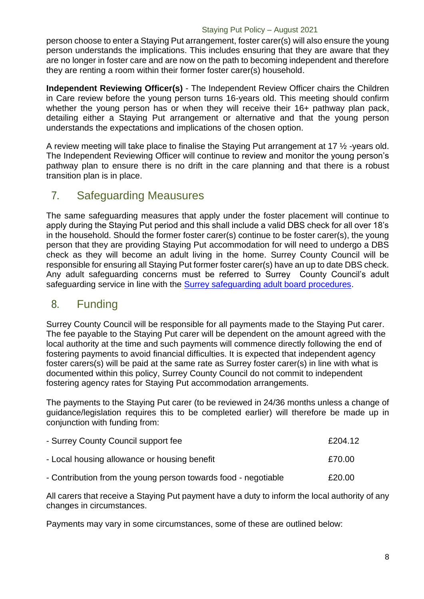#### Staying Put Policy – August 2021

person choose to enter a Staying Put arrangement, foster carer(s) will also ensure the young person understands the implications. This includes ensuring that they are aware that they are no longer in foster care and are now on the path to becoming independent and therefore they are renting a room within their former foster carer(s) household.

**Independent Reviewing Officer(s)** - The Independent Review Officer chairs the Children in Care review before the young person turns 16-years old. This meeting should confirm whether the young person has or when they will receive their 16+ pathway plan pack, detailing either a Staying Put arrangement or alternative and that the young person understands the expectations and implications of the chosen option.

A review meeting will take place to finalise the Staying Put arrangement at 17 ½ -years old. The Independent Reviewing Officer will continue to review and monitor the young person's pathway plan to ensure there is no drift in the care planning and that there is a robust transition plan is in place.

## <span id="page-8-0"></span>7. Safeguarding Meausures

The same safeguarding measures that apply under the foster placement will continue to apply during the Staying Put period and this shall include a valid DBS check for all over 18's in the household. Should the former foster carer(s) continue to be foster carer(s), the young person that they are providing Staying Put accommodation for will need to undergo a DBS check as they will become an adult living in the home. Surrey County Council will be responsible for ensuring all Staying Put former foster carer(s) have an up to date DBS check. Any adult safeguarding concerns must be referred to Surrey County Council's adult safeguarding service in line with the [Surrey safeguarding adult board procedures.](https://www.surreysab.org.uk/concerned-about-an-adult/)

## <span id="page-8-1"></span>8. Funding

Surrey County Council will be responsible for all payments made to the Staying Put carer. The fee payable to the Staying Put carer will be dependent on the amount agreed with the local authority at the time and such payments will commence directly following the end of fostering payments to avoid financial difficulties. It is expected that independent agency foster carers(s) will be paid at the same rate as Surrey foster carer(s) in line with what is documented within this policy, Surrey County Council do not commit to independent fostering agency rates for Staying Put accommodation arrangements.

The payments to the Staying Put carer (to be reviewed in 24/36 months unless a change of guidance/legislation requires this to be completed earlier) will therefore be made up in conjunction with funding from:

| - Surrey County Council support fee                            | £204.12 |
|----------------------------------------------------------------|---------|
| - Local housing allowance or housing benefit                   | £70.00  |
| - Contribution from the young person towards food - negotiable | £20.00  |

All carers that receive a Staying Put payment have a duty to inform the local authority of any changes in circumstances.

Payments may vary in some circumstances, some of these are outlined below: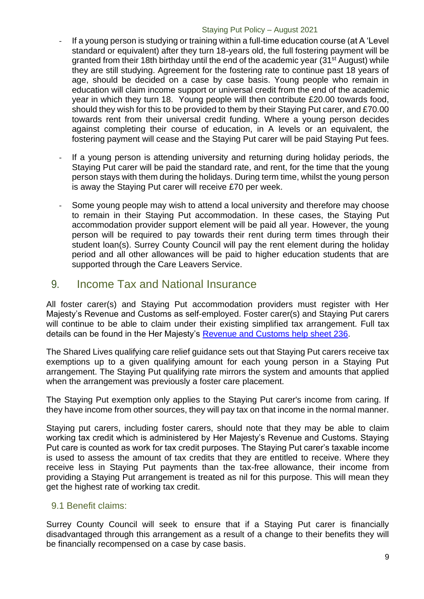#### Staying Put Policy – August 2021

- If a young person is studying or training within a full-time education course (at A 'Level standard or equivalent) after they turn 18-years old, the full fostering payment will be granted from their 18th birthday until the end of the academic year (31<sup>st</sup> August) while they are still studying. Agreement for the fostering rate to continue past 18 years of age, should be decided on a case by case basis. Young people who remain in education will claim income support or universal credit from the end of the academic year in which they turn 18. Young people will then contribute £20.00 towards food, should they wish for this to be provided to them by their Staying Put carer, and £70.00 towards rent from their universal credit funding. Where a young person decides against completing their course of education, in A levels or an equivalent, the fostering payment will cease and the Staying Put carer will be paid Staying Put fees.
- If a young person is attending university and returning during holiday periods, the Staying Put carer will be paid the standard rate, and rent, for the time that the young person stays with them during the holidays. During term time, whilst the young person is away the Staying Put carer will receive £70 per week.
- Some young people may wish to attend a local university and therefore may choose to remain in their Staying Put accommodation. In these cases, the Staying Put accommodation provider support element will be paid all year. However, the young person will be required to pay towards their rent during term times through their student loan(s). Surrey County Council will pay the rent element during the holiday period and all other allowances will be paid to higher education students that are supported through the Care Leavers Service.

## <span id="page-9-0"></span>9. Income Tax and National Insurance

All foster carer(s) and Staying Put accommodation providers must register with Her Majesty's Revenue and Customs as self-employed. Foster carer(s) and Staying Put carers will continue to be able to claim under their existing simplified tax arrangement. Full tax details can be found in the Her Majesty's [Revenue and Customs help sheet 236.](https://www.gov.uk/government/publications/qualifying-care-relief-foster-carers-adult-placement-carers-kinship-carers-and-staying-put-carers-hs236-self-assessment-helpsheet)

The Shared Lives qualifying care relief guidance sets out that Staying Put carers receive tax exemptions up to a given qualifying amount for each young person in a Staying Put arrangement. The Staying Put qualifying rate mirrors the system and amounts that applied when the arrangement was previously a foster care placement.

The Staying Put exemption only applies to the Staying Put carer's income from caring. If they have income from other sources, they will pay tax on that income in the normal manner.

Staying put carers, including foster carers, should note that they may be able to claim working tax credit which is administered by Her Majesty's Revenue and Customs. Staying Put care is counted as work for tax credit purposes. The Staying Put carer's taxable income is used to assess the amount of tax credits that they are entitled to receive. Where they receive less in Staying Put payments than the tax-free allowance, their income from providing a Staying Put arrangement is treated as nil for this purpose. This will mean they get the highest rate of working tax credit.

#### 9.1 Benefit claims:

Surrey County Council will seek to ensure that if a Staying Put carer is financially disadvantaged through this arrangement as a result of a change to their benefits they will be financially recompensed on a case by case basis.